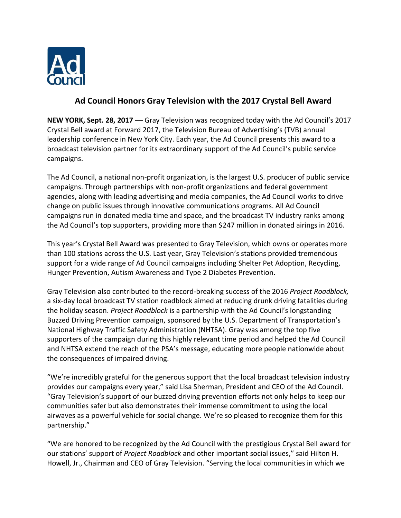

# **Ad Council Honors Gray Television with the 2017 Crystal Bell Award**

**NEW YORK, Sept. 28, 2017** –– Gray Television was recognized today with the Ad Council's 2017 Crystal Bell award at Forward 2017, the Television Bureau of Advertising's (TVB) annual leadership conference in New York City. Each year, the Ad Council presents this award to a broadcast television partner for its extraordinary support of the Ad Council's public service campaigns.

The Ad Council, a national non-profit organization, is the largest U.S. producer of public service campaigns. Through partnerships with non-profit organizations and federal government agencies, along with leading advertising and media companies, the Ad Council works to drive change on public issues through innovative communications programs. All Ad Council campaigns run in donated media time and space, and the broadcast TV industry ranks among the Ad Council's top supporters, providing more than \$247 million in donated airings in 2016.

This year's Crystal Bell Award was presented to Gray Television, which owns or operates more than 100 stations across the U.S. Last year, Gray Television's stations provided tremendous support for a wide range of Ad Council campaigns including Shelter Pet Adoption, Recycling, Hunger Prevention, Autism Awareness and Type 2 Diabetes Prevention.

Gray Television also contributed to the record-breaking success of the 2016 *Project Roadblock,*  a six-day local broadcast TV station roadblock aimed at reducing drunk driving fatalities during the holiday season. *Project Roadblock* is a partnership with the Ad Council's longstanding Buzzed Driving Prevention campaign, sponsored by the U.S. Department of Transportation's National Highway Traffic Safety Administration (NHTSA). Gray was among the top five supporters of the campaign during this highly relevant time period and helped the Ad Council and NHTSA extend the reach of the PSA's message, educating more people nationwide about the consequences of impaired driving.

"We're incredibly grateful for the generous support that the local broadcast television industry provides our campaigns every year," said Lisa Sherman, President and CEO of the Ad Council. "Gray Television's support of our buzzed driving prevention efforts not only helps to keep our communities safer but also demonstrates their immense commitment to using the local airwaves as a powerful vehicle for social change. We're so pleased to recognize them for this partnership."

"We are honored to be recognized by the Ad Council with the prestigious Crystal Bell award for our stations' support of *Project Roadblock* and other important social issues," said Hilton H. Howell, Jr., Chairman and CEO of Gray Television. "Serving the local communities in which we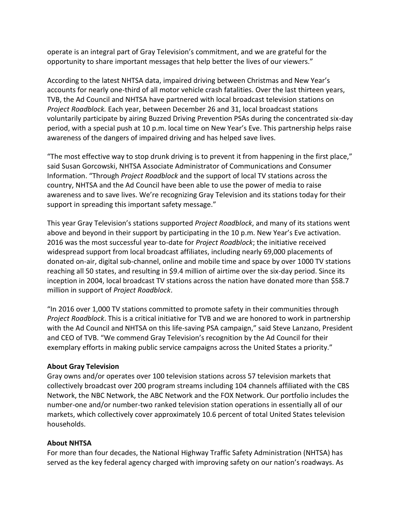operate is an integral part of Gray Television's commitment, and we are grateful for the opportunity to share important messages that help better the lives of our viewers."

According to the latest NHTSA data, impaired driving between Christmas and New Year's accounts for nearly one-third of all motor vehicle crash fatalities. Over the last thirteen years, TVB, the Ad Council and NHTSA have partnered with local broadcast television stations on *Project Roadblock.* Each year, between December 26 and 31, local broadcast stations voluntarily participate by airing Buzzed Driving Prevention PSAs during the concentrated six-day period, with a special push at 10 p.m. local time on New Year's Eve. This partnership helps raise awareness of the dangers of impaired driving and has helped save lives.

"The most effective way to stop drunk driving is to prevent it from happening in the first place," said Susan Gorcowski, NHTSA Associate Administrator of Communications and Consumer Information. "Through *Project Roadblock* and the support of local TV stations across the country, NHTSA and the Ad Council have been able to use the power of media to raise awareness and to save lives. We're recognizing Gray Television and its stations today for their support in spreading this important safety message."

This year Gray Television's stations supported *Project Roadblock*, and many of its stations went above and beyond in their support by participating in the 10 p.m. New Year's Eve activation. 2016 was the most successful year to-date for *Project Roadblock*; the initiative received widespread support from local broadcast affiliates, including nearly 69,000 placements of donated on-air, digital sub-channel, online and mobile time and space by over 1000 TV stations reaching all 50 states, and resulting in \$9.4 million of airtime over the six-day period. Since its inception in 2004, local broadcast TV stations across the nation have donated more than \$58.7 million in support of *Project Roadblock*.

"In 2016 over 1,000 TV stations committed to promote safety in their communities through *Project Roadblock*. This is a critical initiative for TVB and we are honored to work in partnership with the Ad Council and NHTSA on this life-saving PSA campaign," said Steve Lanzano, President and CEO of TVB. "We commend Gray Television's recognition by the Ad Council for their exemplary efforts in making public service campaigns across the United States a priority."

## **About Gray Television**

Gray owns and/or operates over 100 television stations across 57 television markets that collectively broadcast over 200 program streams including 104 channels affiliated with the CBS Network, the NBC Network, the ABC Network and the FOX Network. Our portfolio includes the number-one and/or number-two ranked television station operations in essentially all of our markets, which collectively cover approximately 10.6 percent of total United States television households.

## **About NHTSA**

For more than four decades, the National Highway Traffic Safety Administration (NHTSA) has served as the key federal agency charged with improving safety on our nation's roadways. As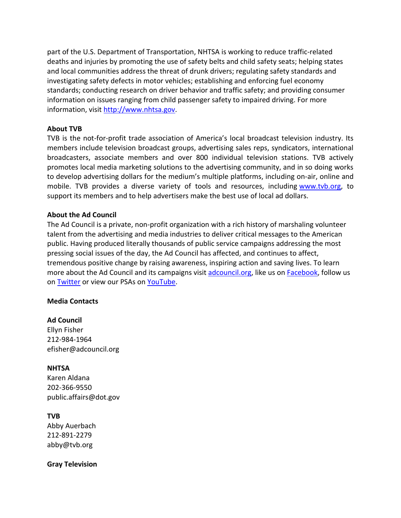part of the U.S. Department of Transportation, NHTSA is working to reduce traffic-related deaths and injuries by promoting the use of safety belts and child safety seats; helping states and local communities address the threat of drunk drivers; regulating safety standards and investigating safety defects in motor vehicles; establishing and enforcing fuel economy standards; conducting research on driver behavior and traffic safety; and providing consumer information on issues ranging from child passenger safety to impaired driving. For more information, visit [http://www.nhtsa.gov.](http://www.nhtsa.gov/)

### **About TVB**

TVB is the not-for-profit trade association of America's local broadcast television industry. Its members include television broadcast groups, advertising sales reps, syndicators, international broadcasters, associate members and over 800 individual television stations. TVB actively promotes local media marketing solutions to the advertising community, and in so doing works to develop advertising dollars for the medium's multiple platforms, including on-air, online and mobile. TVB provides a diverse variety of tools and resources, including [www.tvb.org,](http://www.tvb.org/) to support its members and to help advertisers make the best use of local ad dollars.

### **About the Ad Council**

The Ad Council is a private, non-profit organization with a rich history of marshaling volunteer talent from the advertising and media industries to deliver critical messages to the American public. Having produced literally thousands of public service campaigns addressing the most pressing social issues of the day, the Ad Council has affected, and continues to affect, tremendous positive change by raising awareness, inspiring action and saving lives. To learn more about the Ad Council and its campaigns visit [adcouncil.org,](https://www.adcouncil.org/) like us on **Facebook**, follow us on **[Twitter](https://twitter.com/adcouncil)** or view our PSAs on [YouTube.](https://www.youtube.com/user/adcouncil)

#### **Media Contacts**

## **Ad Council** Ellyn Fisher 212-984-1964 efisher@adcouncil.org

## **NHTSA**

Karen Aldana 202-366-9550 public.affairs@dot.gov

## **TVB**

Abby Auerbach 212-891-2279 abby@tvb.org

#### **Gray Television**